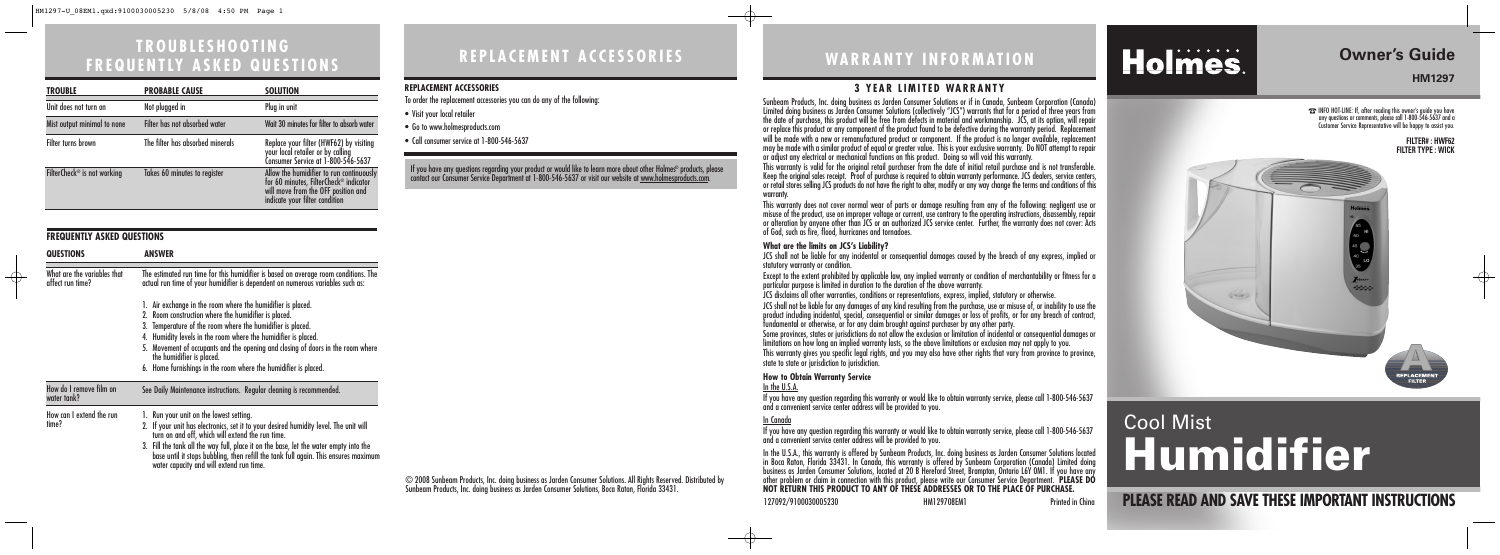# **WA R R A N T Y I N F O R M AT I O N**

### **3 YEAR LIMITED WARRANTY**

© 2008 Sunbeam Products, Inc. doing business as Jarden Consumer Solutions. All Rights Reserved. Distributed by Sunbeam Products, Inc. doing business as Jarden Consumer Solutions, Boca Raton, Florida 33431.

**PLEASE READ AND SAVE THESE IMPORTANT INSTRUCTIONS**

# **Owner's Guide**

☎INFO HOT-LINE: If, after reading this owner's guide you have any questions or comments, please call 1-800-546-5637 and a Customer Service Representative will be happy to assist you.

# Cool Mist Humidifier

#### **FILTER# : HWF62 FILTER TYPE : WICK**

↔



# **R E P L A C E M E N T A C C E S S O R I E S**

#### **REPLACEMENT ACCESSORIES**

To order the replacement accessories you can do any of the following:

- Visit your local retailer
- Go to www.holmesproducts.com
- Call consumer service at 1-800-546-5637

# **TROUBLESHOOTING F R E Q U E N T LY A S K E D Q U E S T I O N S**

Sunbeam Products, Inc. doing business as Jarden Consumer Solutions or if in Canada, Sunbeam Corporation (Canada) Limited doing business as Jarden Consumer Solutions (collectively "JCS") warrants that for a period of three years from the date of purchase, this product will be free from defects in material and workmanship. JCS, at its option, will repair or replace this product or any component of the product found to be defective during the warranty period. Replacement will be made with a new or remanufactured product or component. If the product is no longer available, replacement may be made with a similar product of equal or greater value. This is your exclusive warranty. Do NOT attempt to repair or adjust any electrical or mechanical functions on this product. Doing so will void this warranty. This warranty is valid for the original retail purchaser from the date of initial retail purchase and is not transferable.<br>Keep the original sales receipt. Proof of purchase is required to obtain warranty performance. JCS or retail stores selling JCS products do not have the right to alter, modify or any way change the terms and conditions of this warranty.

This warranty does not cover normal wear of parts or damage resulting from any of the following: negligent use or misuse of the product, use on improper voltage or current, use contrary to the operating instructions, disassembly, repair or alteration by anyone other than JCS or an authorized JCS service center. Further, the warranty does not cover: Acts of God, such as fire, flood, hurricanes and tornadoes.

 $\longrightarrow$ 

If you have any questions regarding your product or would like to learn more about other Holmes® products, please contact our Consumer Service Department at 1-800-546-5637 or visit our website at <u>www.holmesproducts.com</u>

#### **What are the limits on JCS's Liability?**

JCS shall not be liable for any incidental or consequential damages caused by the breach of any express, implied or

statutory warranty or condition.

Except to the extent prohibited by applicable law, any implied warranty or condition of merchantability or fitness for a particular purpose is limited in duration to the duration of the above warranty.

JCS disclaims all other warranties, conditions or representations, express, implied, statutory or otherwise.

JCS shall not be liable for any damages of any kind resulting from the purchase, use or misuse of, or inability to use the product including incidental, special, consequential or similar damages or loss of profits, or for any breach of contract, fundamental or otherwise, or for any claim brought against purchaser by any other party.

Some provinces, states or jurisdictions do not allow the exclusion or limitation of incidental or consequential damages or limitations on how long an implied warranty lasts, so the above limitations or exclusion may not apply to you.

This warranty gives you specific legal rights, and you may also have other rights that vary from province to province, state to state or jurisdiction to jurisdiction.

#### **How to Obtain Warranty Service**

In the U.S.A.

If you have any question regarding this warranty or would like to obtain warranty service, please call 1-800-546-5637 and a convenient service center address will be provided to you.

In Canada If you have any question regarding this warranty or would like to obtain warranty service, please call 1-800-546-5637 and a convenient service center address will be provided to you.

In the U.S.A., this warranty is offered by Sunbeam Products, Inc. doing business as Jarden Consumer Solutions located in Boca Raton, Florida 33431. In Canada, this warranty is offered by Sunbeam Corporation (Canada) Limited doing business as Jarden Consumer Solutions, located at 20 B Hereford Street, Brampton, Ontario L6Y 0M1. If you have any other problem or claim in connection with this product, please write our Consumer Service Department. **PLEASE DO NOT RETURN THIS PRODUCT TO ANY OF THESE ADDRESSES OR TO THE PLACE OF PURCHASE.** 

127092/9100030005230 HM129708EM1 Printed in China

Holmes.

| <b>TROUBLE</b>                          | <b>PROBABLE CAUSE</b>            | <b>SOLUTION</b>                                                                                                                                             |
|-----------------------------------------|----------------------------------|-------------------------------------------------------------------------------------------------------------------------------------------------------------|
| Unit does not turn on                   | Not plugged in                   | Plug in unit                                                                                                                                                |
| Mist output minimal to none             | Filter has not absorbed water    | Wait 30 minutes for filter to absorb water                                                                                                                  |
| Filter turns brown                      | The filter has absorbed minerals | Replace your filter (HWF62) by visiting<br>your local retailer or by calling<br>Consumer Service at 1-800-546-5637                                          |
| FilterCheck <sup>®</sup> is not working | Takes 60 minutes to register     | Allow the humidifier to run continuously<br>for 60 minutes, FilterCheck® indicator<br>will move from the OFF position and<br>indicate your filter condition |

#### **FREQUENTLY ASKED QUESTIONS**

 $\oplus$ 

| <b>QUESTIONS</b>                                | <b>ANSWER</b>                                                                                                                                                                                                                                                                                                                                                                                                                          |  |
|-------------------------------------------------|----------------------------------------------------------------------------------------------------------------------------------------------------------------------------------------------------------------------------------------------------------------------------------------------------------------------------------------------------------------------------------------------------------------------------------------|--|
| What are the variables that<br>affect run time? | The estimated run time for this humidifier is based on average room conditions. The<br>actual run time of your humidifier is dependent on numerous variables such as:                                                                                                                                                                                                                                                                  |  |
|                                                 | 1. Air exchange in the room where the humidifier is placed.<br>2. Room construction where the humidifier is placed.<br>3. Temperature of the room where the humidifier is placed.<br>4. Humidity levels in the room where the humidifier is placed.<br>5. Movement of occupants and the opening and closing of doors in the room where<br>the humidifier is placed.<br>6. Home furnishings in the room where the humidifier is placed. |  |
| How do I remove film on<br>water tank?          | See Daily Maintenance instructions. Regular cleaning is recommended.                                                                                                                                                                                                                                                                                                                                                                   |  |
| How can I extend the run<br>time?               | 1. Run your unit on the lowest setting.<br>2. If your unit has electronics, set it to your desired humidity level. The unit will<br>turn on and off, which will extend the run time.<br>3. Fill the tank all the way full, place it on the base, let the water empty into the<br>base until it stops bubbling, then refill the tank full again. This ensures maximum<br>water capacity and will extend run time.                       |  |